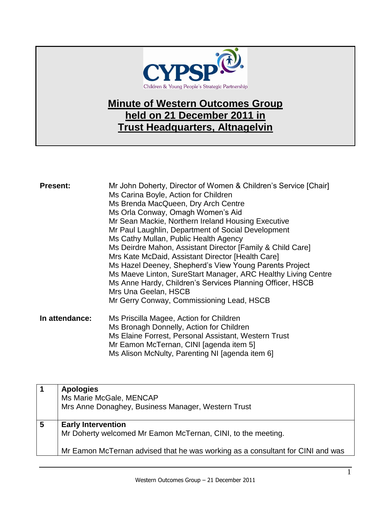

## **Minute of Western Outcomes Group held on 21 December 2011 in Trust Headquarters, Altnagelvin**

| <b>Present:</b> | Mr John Doherty, Director of Women & Children's Service [Chair]<br>Ms Carina Boyle, Action for Children<br>Ms Brenda MacQueen, Dry Arch Centre<br>Ms Orla Conway, Omagh Women's Aid<br>Mr Sean Mackie, Northern Ireland Housing Executive<br>Mr Paul Laughlin, Department of Social Development<br>Ms Cathy Mullan, Public Health Agency<br>Ms Deirdre Mahon, Assistant Director [Family & Child Care]<br>Mrs Kate McDaid, Assistant Director [Health Care]<br>Ms Hazel Deeney, Shepherd's View Young Parents Project<br>Ms Maeve Linton, SureStart Manager, ARC Healthy Living Centre<br>Ms Anne Hardy, Children's Services Planning Officer, HSCB<br>Mrs Una Geelan, HSCB<br>Mr Gerry Conway, Commissioning Lead, HSCB |
|-----------------|--------------------------------------------------------------------------------------------------------------------------------------------------------------------------------------------------------------------------------------------------------------------------------------------------------------------------------------------------------------------------------------------------------------------------------------------------------------------------------------------------------------------------------------------------------------------------------------------------------------------------------------------------------------------------------------------------------------------------|
| In attendance:  | Ms Priscilla Magee, Action for Children<br>Ms Bronagh Donnelly, Action for Children<br>Ms Elaine Forrest, Personal Assistant, Western Trust<br>Mr Eamon McTernan, CINI [agenda item 5]                                                                                                                                                                                                                                                                                                                                                                                                                                                                                                                                   |

|   | <b>Apologies</b><br>Ms Marie McGale, MENCAP<br>Mrs Anne Donaghey, Business Manager, Western Trust                                                                           |
|---|-----------------------------------------------------------------------------------------------------------------------------------------------------------------------------|
| 5 | <b>Early Intervention</b><br>Mr Doherty welcomed Mr Eamon McTernan, CINI, to the meeting.<br>Mr Eamon McTernan advised that he was working as a consultant for CINI and was |

Ms Alison McNulty, Parenting NI [agenda item 6]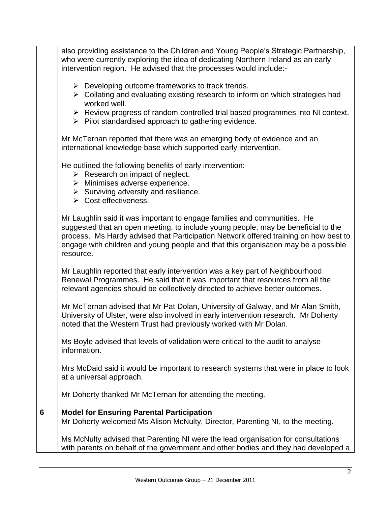| also providing assistance to the Children and Young People's Strategic Partnership,<br>who were currently exploring the idea of dedicating Northern Ireland as an early<br>intervention region. He advised that the processes would include:-                                                                                                            |
|----------------------------------------------------------------------------------------------------------------------------------------------------------------------------------------------------------------------------------------------------------------------------------------------------------------------------------------------------------|
| $\triangleright$ Developing outcome frameworks to track trends.<br>$\triangleright$ Collating and evaluating existing research to inform on which strategies had<br>worked well.                                                                                                                                                                         |
| $\triangleright$ Review progress of random controlled trial based programmes into NI context.<br>$\triangleright$ Pilot standardised approach to gathering evidence.                                                                                                                                                                                     |
| Mr McTernan reported that there was an emerging body of evidence and an<br>international knowledge base which supported early intervention.                                                                                                                                                                                                              |
| He outlined the following benefits of early intervention:-<br>$\triangleright$ Research on impact of neglect.<br>$\triangleright$ Minimises adverse experience.<br>$\triangleright$ Surviving adversity and resilience.<br>$\triangleright$ Cost effectiveness.                                                                                          |
| Mr Laughlin said it was important to engage families and communities. He<br>suggested that an open meeting, to include young people, may be beneficial to the<br>process. Ms Hardy advised that Participation Network offered training on how best to<br>engage with children and young people and that this organisation may be a possible<br>resource. |
| Mr Laughlin reported that early intervention was a key part of Neighbourhood<br>Renewal Programmes. He said that it was important that resources from all the<br>relevant agencies should be collectively directed to achieve better outcomes.                                                                                                           |
| Mr McTernan advised that Mr Pat Dolan, University of Galway, and Mr Alan Smith,<br>University of Ulster, were also involved in early intervention research. Mr Doherty<br>noted that the Western Trust had previously worked with Mr Dolan.                                                                                                              |
| Ms Boyle advised that levels of validation were critical to the audit to analyse<br>information.                                                                                                                                                                                                                                                         |
| Mrs McDaid said it would be important to research systems that were in place to look<br>at a universal approach.                                                                                                                                                                                                                                         |
| Mr Doherty thanked Mr McTernan for attending the meeting.                                                                                                                                                                                                                                                                                                |
| <b>Model for Ensuring Parental Participation</b><br>Mr Doherty welcomed Ms Alison McNulty, Director, Parenting NI, to the meeting.                                                                                                                                                                                                                       |
| Ms McNulty advised that Parenting NI were the lead organisation for consultations<br>with parents on behalf of the government and other bodies and they had developed a                                                                                                                                                                                  |
|                                                                                                                                                                                                                                                                                                                                                          |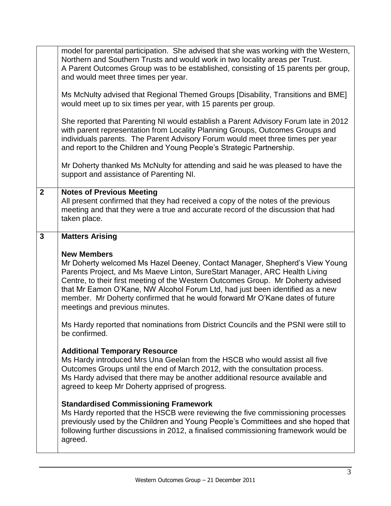|                | model for parental participation. She advised that she was working with the Western,<br>Northern and Southern Trusts and would work in two locality areas per Trust.<br>A Parent Outcomes Group was to be established, consisting of 15 parents per group,<br>and would meet three times per year.                                                                |
|----------------|-------------------------------------------------------------------------------------------------------------------------------------------------------------------------------------------------------------------------------------------------------------------------------------------------------------------------------------------------------------------|
|                | Ms McNulty advised that Regional Themed Groups [Disability, Transitions and BME]<br>would meet up to six times per year, with 15 parents per group.                                                                                                                                                                                                               |
|                | She reported that Parenting NI would establish a Parent Advisory Forum late in 2012<br>with parent representation from Locality Planning Groups, Outcomes Groups and<br>individuals parents. The Parent Advisory Forum would meet three times per year<br>and report to the Children and Young People's Strategic Partnership.                                    |
|                | Mr Doherty thanked Ms McNulty for attending and said he was pleased to have the<br>support and assistance of Parenting NI.                                                                                                                                                                                                                                        |
| $\overline{2}$ | <b>Notes of Previous Meeting</b><br>All present confirmed that they had received a copy of the notes of the previous<br>meeting and that they were a true and accurate record of the discussion that had<br>taken place.                                                                                                                                          |
| $\mathbf{3}$   | <b>Matters Arising</b>                                                                                                                                                                                                                                                                                                                                            |
|                | <b>New Members</b><br>Mr Doherty welcomed Ms Hazel Deeney, Contact Manager, Shepherd's View Young                                                                                                                                                                                                                                                                 |
|                | Parents Project, and Ms Maeve Linton, SureStart Manager, ARC Health Living<br>Centre, to their first meeting of the Western Outcomes Group. Mr Doherty advised<br>that Mr Eamon O'Kane, NW Alcohol Forum Ltd, had just been identified as a new<br>member. Mr Doherty confirmed that he would forward Mr O'Kane dates of future<br>meetings and previous minutes. |
|                | Ms Hardy reported that nominations from District Councils and the PSNI were still to<br>be confirmed.                                                                                                                                                                                                                                                             |
|                | <b>Additional Temporary Resource</b><br>Ms Hardy introduced Mrs Una Geelan from the HSCB who would assist all five<br>Outcomes Groups until the end of March 2012, with the consultation process.<br>Ms Hardy advised that there may be another additional resource available and<br>agreed to keep Mr Doherty apprised of progress.                              |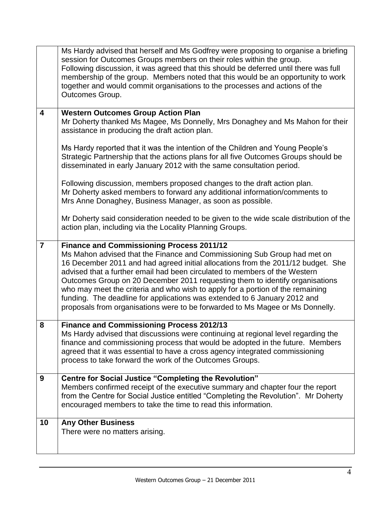|                | Ms Hardy advised that herself and Ms Godfrey were proposing to organise a briefing<br>session for Outcomes Groups members on their roles within the group.<br>Following discussion, it was agreed that this should be deferred until there was full<br>membership of the group. Members noted that this would be an opportunity to work<br>together and would commit organisations to the processes and actions of the<br>Outcomes Group.                                                                                                                                                                                                                                                                                                                                                                   |
|----------------|-------------------------------------------------------------------------------------------------------------------------------------------------------------------------------------------------------------------------------------------------------------------------------------------------------------------------------------------------------------------------------------------------------------------------------------------------------------------------------------------------------------------------------------------------------------------------------------------------------------------------------------------------------------------------------------------------------------------------------------------------------------------------------------------------------------|
| 4              | <b>Western Outcomes Group Action Plan</b><br>Mr Doherty thanked Ms Magee, Ms Donnelly, Mrs Donaghey and Ms Mahon for their<br>assistance in producing the draft action plan.<br>Ms Hardy reported that it was the intention of the Children and Young People's<br>Strategic Partnership that the actions plans for all five Outcomes Groups should be<br>disseminated in early January 2012 with the same consultation period.<br>Following discussion, members proposed changes to the draft action plan.<br>Mr Doherty asked members to forward any additional information/comments to<br>Mrs Anne Donaghey, Business Manager, as soon as possible.<br>Mr Doherty said consideration needed to be given to the wide scale distribution of the<br>action plan, including via the Locality Planning Groups. |
| $\overline{7}$ | <b>Finance and Commissioning Process 2011/12</b><br>Ms Mahon advised that the Finance and Commissioning Sub Group had met on<br>16 December 2011 and had agreed initial allocations from the 2011/12 budget. She<br>advised that a further email had been circulated to members of the Western<br>Outcomes Group on 20 December 2011 requesting them to identify organisations<br>who may meet the criteria and who wish to apply for a portion of the remaining<br>funding. The deadline for applications was extended to 6 January 2012 and<br>proposals from organisations were to be forwarded to Ms Magee or Ms Donnelly.                                                                                                                                                                              |
| 8              | <b>Finance and Commissioning Process 2012/13</b><br>Ms Hardy advised that discussions were continuing at regional level regarding the<br>finance and commissioning process that would be adopted in the future. Members<br>agreed that it was essential to have a cross agency integrated commissioning<br>process to take forward the work of the Outcomes Groups.                                                                                                                                                                                                                                                                                                                                                                                                                                         |
| 9              | <b>Centre for Social Justice "Completing the Revolution"</b><br>Members confirmed receipt of the executive summary and chapter four the report<br>from the Centre for Social Justice entitled "Completing the Revolution". Mr Doherty<br>encouraged members to take the time to read this information.                                                                                                                                                                                                                                                                                                                                                                                                                                                                                                      |
| 10             | <b>Any Other Business</b><br>There were no matters arising.                                                                                                                                                                                                                                                                                                                                                                                                                                                                                                                                                                                                                                                                                                                                                 |